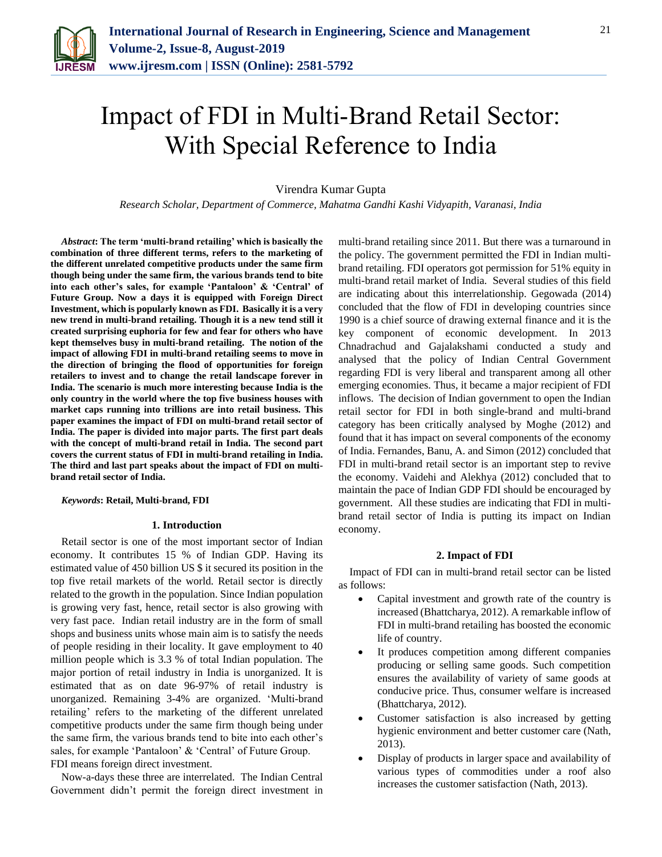

# Impact of FDI in Multi-Brand Retail Sector: With Special Reference to India

Virendra Kumar Gupta

*Research Scholar, Department of Commerce, Mahatma Gandhi Kashi Vidyapith, Varanasi, India*

*Abstract***: The term 'multi-brand retailing' which is basically the combination of three different terms, refers to the marketing of the different unrelated competitive products under the same firm though being under the same firm, the various brands tend to bite into each other's sales, for example 'Pantaloon' & 'Central' of Future Group. Now a days it is equipped with Foreign Direct Investment, which is popularly known as FDI. Basically it is a very new trend in multi-brand retailing. Though it is a new tend still it created surprising euphoria for few and fear for others who have kept themselves busy in multi-brand retailing. The notion of the impact of allowing FDI in multi-brand retailing seems to move in the direction of bringing the flood of opportunities for foreign retailers to invest and to change the retail landscape forever in India. The scenario is much more interesting because India is the only country in the world where the top five business houses with market caps running into trillions are into retail business. This paper examines the impact of FDI on multi-brand retail sector of India. The paper is divided into major parts. The first part deals with the concept of multi-brand retail in India. The second part covers the current status of FDI in multi-brand retailing in India. The third and last part speaks about the impact of FDI on multibrand retail sector of India.** 

## *Keywords***: Retail, Multi-brand, FDI**

#### **1. Introduction**

Retail sector is one of the most important sector of Indian economy. It contributes 15 % of Indian GDP. Having its estimated value of 450 billion US \$ it secured its position in the top five retail markets of the world. Retail sector is directly related to the growth in the population. Since Indian population is growing very fast, hence, retail sector is also growing with very fast pace. Indian retail industry are in the form of small shops and business units whose main aim is to satisfy the needs of people residing in their locality. It gave employment to 40 million people which is 3.3 % of total Indian population. The major portion of retail industry in India is unorganized. It is estimated that as on date 96-97% of retail industry is unorganized. Remaining 3-4% are organized. 'Multi-brand retailing' refers to the marketing of the different unrelated competitive products under the same firm though being under the same firm, the various brands tend to bite into each other's sales, for example 'Pantaloon' & 'Central' of Future Group. FDI means foreign direct investment.

Now-a-days these three are interrelated. The Indian Central Government didn't permit the foreign direct investment in multi-brand retailing since 2011. But there was a turnaround in the policy. The government permitted the FDI in Indian multibrand retailing. FDI operators got permission for 51% equity in multi-brand retail market of India. Several studies of this field are indicating about this interrelationship. Gegowada (2014) concluded that the flow of FDI in developing countries since 1990 is a chief source of drawing external finance and it is the key component of economic development. In 2013 Chnadrachud and Gajalakshami conducted a study and analysed that the policy of Indian Central Government regarding FDI is very liberal and transparent among all other emerging economies. Thus, it became a major recipient of FDI inflows. The decision of Indian government to open the Indian retail sector for FDI in both single-brand and multi-brand category has been critically analysed by Moghe (2012) and found that it has impact on several components of the economy of India. Fernandes, Banu, A. and Simon (2012) concluded that FDI in multi-brand retail sector is an important step to revive the economy. Vaidehi and Alekhya (2012) concluded that to maintain the pace of Indian GDP FDI should be encouraged by government. All these studies are indicating that FDI in multibrand retail sector of India is putting its impact on Indian economy.

## **2. Impact of FDI**

Impact of FDI can in multi-brand retail sector can be listed as follows:

- Capital investment and growth rate of the country is increased (Bhattcharya, 2012). A remarkable inflow of FDI in multi-brand retailing has boosted the economic life of country.
- It produces competition among different companies producing or selling same goods. Such competition ensures the availability of variety of same goods at conducive price. Thus, consumer welfare is increased (Bhattcharya, 2012).
- Customer satisfaction is also increased by getting hygienic environment and better customer care (Nath, 2013).
- Display of products in larger space and availability of various types of commodities under a roof also increases the customer satisfaction (Nath, 2013).